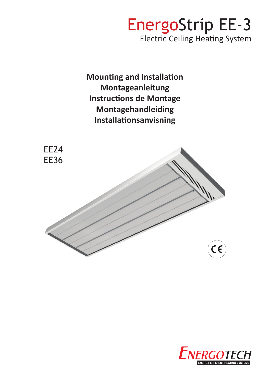# EnergoStrip EE-3 Electric Ceiling Heating System

**Mounting and Installation Montageanleitung Instructions de Montage Montagehandleiding Installationsanvisning**



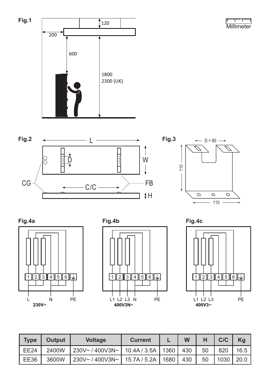للسيلسيليتينا **Millimeter** 













| <b>Type</b> | Output | <b>Voltage</b>      | <b>Current</b>      |        | W   |    | C/C  | Kg   |
|-------------|--------|---------------------|---------------------|--------|-----|----|------|------|
| EE24        | 2400W  | 230V~/400V3N~       | 10.4A / 3.5A   1360 |        | 430 | 50 | 820  | 16.5 |
| <b>EE36</b> | 3600W  | $230V - 400V3N - 1$ | 15.7A / 5.2A        | 1680 I | 430 | 50 | 1030 | 20.0 |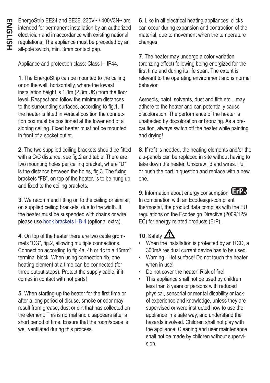EnergoStrip EE24 and EE36, 230V~ / 400V3N~ are intended for permanent installation by an authorized electrician and in accordance with existing national regulations. The appliance must be preceded by an all-pole switch, min. 3mm contact gap.

Appliance and protection class: Class I - IP44.

**1**. The EnergoStrip can be mounted to the ceiling or on the wall, horizontally, where the lowest installation height is 1.8m (2.3m UK) from the floor level. Respect and follow the minimum distances to the surrounding surfaces, according to fig.1. If the heater is fitted in vertical position the connection box must be positioned at the lower end of a sloping ceiling. Fixed heater must not be mounted in front of a socket outlet.

**2**. The two supplied ceiling brackets should be fitted with a C/C distance, see fig.2 and table. There are two mounting holes per ceiling bracket, where "D" is the distance between the holes, fig.3. The fixing brackets "FB", on top of the heater, is to be hung up and fixed to the ceiling brackets.

**3**. We recommend fitting on to the ceiling or similar, on supplied ceiling brackets, due to the width. If the heater must be suspended with chains or wire please use [hook brackets HB-4](http://www.energotech.com/media/31907/Hook_Bracket_HB-4_Instruction_EN.pdf) (optional extra).

**4**. On top of the heater there are two cable grommets "CG", fig.2, allowing multiple connections. Connection according to fig.4a, 4b or 4c to a 16mm² terminal block. When using connection 4b, one heating element at a time can be connected (for three output steps). Protect the supply cable, if it comes in contact with hot parts!

**5**. When starting-up the heater for the first time or after a long period of disuse, smoke or odor may result from grease, dust or dirt that has collected on the element. This is normal and disappears after a short period of time. Ensure that the room/space is well ventilated during this process.

**6**. Like in all electrical heating appliances, clicks can occur during expansion and contraction of the material, due to movement when the temperature changes.

**7**. The heater may undergo a color variation (bronzing effect) following being energized for the first time and during its life span. The extent is relevant to the operating environment and is normal behavior.

Aerosols, paint, solvents, dust and filth etc... may adhere to the heater and can potentially cause discoloration. The performance of the heater is unaffected by discoloration or bronzing. As a precaution, always switch off the heater while painting and drying!

**8**. If refit is needed, the heating elements and/or the alu-panels can be replaced in site without having to take down the heater. Unscrew lid and wires. Pull or push the part in question and replace with a new one.

9. Information about energy consumption **ErP** In combination with an Ecodesign-compliant thermostat, the product data complies with the EU regulations on the Ecodesign Directive (2009/125/ EC) for energy-related products (ErP).

### **10**. Safety

- When the installation is protected by an RCD, a 300mA residual current device has to be used.
- Warning Hot surface! Do not touch the heater when in use!
- Do not cover the heater! Risk of fire!
- This appliance shall not be used by children less than 8 years or persons with reduced physical, sensorial or mental disability or lack of experience and knowledge, unless they are supervised or were instructed how to use the appliance in a safe way, and understand the hazards involved. Children shall not play with the appliance. Cleaning and user maintenance shall not be made by children without supervision.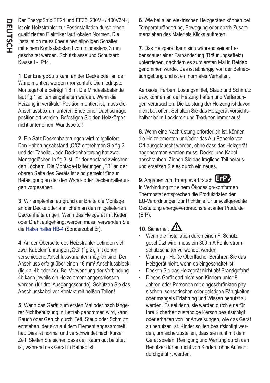Der EnergoStrip EE24 und EE36, 230V~ / 400V3N~, ist ein Heizstrahler zur Festinstallation durch einen qualifizierten Elektriker laut lokalen Normen. Die Installation muss über einen allpoligen Schalter mit einem Kontaktabstand von mindestens 3 mm geschaltet werden. Schutzklasse und Schutzart: Klasse I - IP44.

**1**. Der EnergoStrip kann an der Decke oder an der Wand montiert werden (horizontal). Die niedrigste Montagehöhe beträgt 1,8 m. Die Mindestabstände laut fig.1 sollten eingehalten werden. Wenn die Heizung in vertikaler Position montiert ist, muss die Anschlussbox am unteren Ende einer Dachschräge positioniert werden. Befestigen Sie den Heizkörper nicht unter einem Wandsockel!

**2**. Ein Satz Deckenhalterungen wird mitgeliefert. Den Halterungsabstand "C/C" entnehmen Sie fig.2 und der Tabelle. Jede Deckenhalterung hat zwei Montagelöcher. In fig.3 ist "D" der Abstand zwischen den Löchern. Die Montage-Halterungen "FB" an der oberen Seite des Geräts ist sind gemeint für zur Befestigung an der den Wand- oder Deckenhalterungen vorgesehen.

**3**. Wir empfehlen aufgrund der Breite die Montage an der Decke oder ähnlichem an den mitgelieferten Deckenhalterungen. Wenn das Heizgerät mit Ketten oder Draht aufgehängt werden muss, verwenden Sie die [Hakenhalter HB-4](http://www.energotech.com/media/31907/Hook_Bracket_HB-4_Instruction_EN.pdf) (Sonderzubehör).

**4**. An der Oberseite des Heizstrahler befinden sich zwei Kabeleinführungen "CG" (fig.2), mit denen verschiedene Anschlussvarianten möglich sind. Der Anschluss erfolgt über einen 16 mm² Anschlussblock (fig.4a, 4b oder 4c). Bei Verwendung der Verbindung 4b kann jeweils ein Heizelement angeschlossen werden (für drei Ausgangsschritte). Schützen Sie das Anschlusskabel vor Kontakt mit heißen Teilen!

**5**. Wenn das Gerät zum ersten Mal oder nach längerer Nichtbenutzung in Betrieb genommen wird, kann Rauch oder Geruch durch Fett, Staub oder Schmutz entstehen, der sich auf dem Element angesammelt hat. Dies ist normal und verschwindet nach kurzer Zeit. Stellen Sie sicher, dass der Raum gut belüftet ist, während das Gerät in Betrieb ist.

**6**. Wie bei allen elektrischen Heizgeräten können bei Temperaturänderung, Bewegung oder durch Zusammenziehen des Materials Klicks auftreten.

**7**. Das Heizgerät kann sich während seiner Lebensdauer einer Farbänderung (Bräunungseffekt) unterziehen, nachdem es zum ersten Mal in Betrieb genommen wurde. Das ist abhängig von der Betriebsumgebung und ist ein normales Verhalten.

Aerosole, Farben, Lösungsmittel, Staub und Schmutz usw. können an der Heizung haften und Verfärbungen verursachen. Die Leistung der Heizung ist davon nicht betroffen. Schalten Sie das Heizgerät vorsichtshalber beim Lackieren und Trocknen immer aus!

**8**. Wenn eine Nachrüstung erforderlich ist, können die Heizelementen und/oder das Alu-Paneele vor Ort ausgetauscht werden, ohne dass das Heizgerät abgenommen werden muss. Deckel und Kabel abschrauben. Ziehen Sie das fragliche Teil heraus und ersetzen Sie es durch ein neues.

**9**. Angaben zum Energieverbrauch **ErP**✔In Verbindung mit einem Ökodesign-konformen Thermostat entsprechen die Produktdaten den EU-Verordnungen zur Richtlinie für umweltgerechte Gestaltung energieverbrauchsrelevanter Produkte (ErP).

## 10. Sicherheit  $\mathcal{L}$

- Wenn die Installation durch einen FI Schütz geschützt wird, muss ein 300 mA Fehlerstromschutzschalter verwendet werden.
- Warnung Heiße Oberfläche! Berühren Sie das Heizgerät nicht, wenn es eingeschaltet ist!
- Decken Sie das Heizgerät nicht ab! Brandgefahr!
- Dieses Gerät darf nicht von Kindern unter 8 Jahren oder Personen mit eingeschränkten physischen, sensorischen oder geistigen Fähigkeiten oder mangels Erfahrung und Wissen benutzt zu werden. Es sei denn, sie werden durch eine für Ihre Sicherheit zuständige Person beaufsichtigt oder erhalten von ihr Anweisungen, wie das Gerät zu benutzen ist. Kinder sollten beaufsichtigt werden, um sicherzustellen, dass sie nicht mit dem Gerät spielen. Reinigung und Wartung durch den Benutzer dürfen nicht von Kindern ohne Aufsicht durchgeführt werden.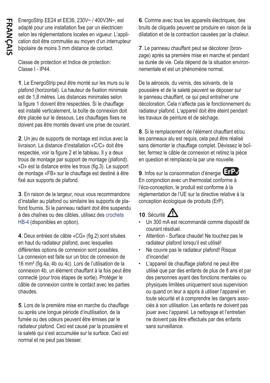EnergoStrip EE24 et EE36, 230V~ / 400V3N~, est adapté pour une installation fixe par un électricien selon les réglementations locales en vigueur. L'application doit être commutée au moyen d'un interrupteur bipolaire de moins 3 mm distance de contact.

Classe de protection et Indice de protection: Classe I - IP44.

**1**. Le EnergoStrip peut être monté sur les murs ou le plafond (horizontal). La hauteur de fixation minimale est de 1,8 mètres. Les distances minimales selon la figure 1 doivent être respectées. Si le chauffage est installé verticalement, la boîte de connexion doit être placée sur le dessous. Les chauffages fixes ne doivent pas être montés devant une prise de courant.

**2**. Un jeu de supports de montage est inclus avec la livraison. La distance d'installation «C/C» doit être respectée, voir la figure 2 et le tableau. Il y a deux trous de montage par support de montage (plafond). «D» est la distance entre les trous (fig.3). Le support de montage «FB» sur le chauffage est destiné à être fixé aux supports de plafond.

**3**. En raison de la largeur, nous vous recommandons d'installer au plafond ou similaire les supports de plafond fournis. Si le panneau radiant doit être suspendu à des chaînes ou des câbles, utilisez des [crochets](http://www.energotech.com/media/31907/Hook_Bracket_HB-4_Instruction_EN.pdf)  [HB-4](http://www.energotech.com/media/31907/Hook_Bracket_HB-4_Instruction_EN.pdf) (disponibles en option).

**4**. Deux entrées de câble «CG» (fig.2) sont situées en haut du radiateur plafond, avec lesquelles différentes options de connexion sont possibles. La connexion est faite sur un bloc de connexion de 16 mm² (fig.4a, 4b ou 4c). Lors de l'utilisation de la connexion 4b, un élément chauffant à la fois peut être connecté (pour trois étapes de sortie). Protéger le câble de connexion contre le contact avec les parties chaudes.

**5**. Lors de la première mise en marche du chauffage ou après une longue période d'inutilisation, de la fumée ou des odeurs peuvent être émises par le radiateur plafond. Ceci est causé par la poussière et la saleté qui s'est accumulée sur la surface. Ceci est normal et ne peut pas blesser.

**6**. Comme avec tous les appareils électriques, des bruits de cliquetis peuvent se produire en raison de la dilatation et de la contraction causées par la chaleur.

**7**. Le panneau chauffant peut se décolorer (bronzage) après sa première mise en marche et pendant sa durée de vie. Cela dépend de la situation environnementale et est un phénomène normal.

De la aérosols, du vernis, des solvants, de la poussière et de la saleté peuvent se déposer sur le panneau chauffant, ce qui peut entraîner une décoloration. Cela n'affecte pas le fonctionnement du radiateur plafond. L'appareil doit être éteint pendant les travaux de peinture et de séchage.

**8**. Si le remplacement de l'élément chauffant et/ou les panneaux alu est requis, cela peut être réalisé sans démonter le chauffage complet. Dévissez le boîtier, fermez le câble de connexion et retirez la pièce en question et remplacez-la par une nouvelle.

**9**. Infos sur la consommation d'énergie **ErP**✔En conjonction avec un thermostat conforme à l'éco-conception, le produit est conforme à la réglementation de l'UE sur la directive relative à la conception écologique de produits (ErP).

#### **10**. Sécurité

- Un 300 mA est recommandé comme dispositif de courant résiduel.
- Attention Surface chaude! Ne touchez pas le radiateur plafond lorsqu'il est utilisé!
- Ne couvre pas le radiateur plafond! Risque d'incendie!
- L'appareil de chauffage plafond ne peut être utilisé que par des enfants de plus de 8 ans et par des personnes ayant des fonctions mentales ou physiques limitées uniquement sous supervision ou quand on leur a appris à utiliser l'appareil en toute sécurité et à comprendre les dangers associés à son utilisation. Les enfants ne doivent pas jouer avec l'appareil. Le nettoyage et l'entretien ne doivent pas être effectués par des enfants sans surveillance.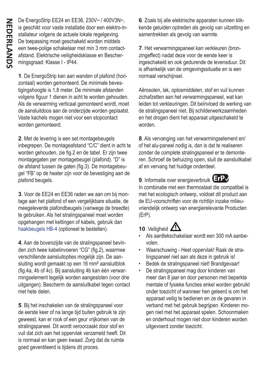De EnergoStrip EE24 en EE36, 230V~ / 400V3N~, is geschikt voor vaste installatie door een elektro-installateur volgens de actuele lokale regelgeving. De toepassing moet geschakeld worden middels een twee-polige schakelaar met min 3 mm contactafstand. Elektrische veiligheidsklasse en Beschermingsgraad: Klasse I - IP44.

**1**. De EnergoStrip kan aan wanden of plafond (horizontaal) worden gemonteerd. De minimale bevestigingshoogte is 1,8 meter. De minimale afstanden volgens figuur 1 dienen in acht te worden gehouden. Als de verwarming verticaal gemonteerd wordt, moet de aansluitdoos aan de onderzijde worden geplaatst. Vaste kachels mogen niet voor een stopcontact worden gemonteerd.

**2**. Met de levering is een set montagebeugels inbegrepen. De montageafstand "C/C" dient in acht te worden gehouden, zie fig.2 en de tabel. Er zijn twee montagegaten per montagebeugel (plafond). "D" is de afstand tussen de gaten (fig.3). De montagebeugel "FB" op de heater zijn voor de bevestiging aan de plafond beugels.

**3**. Voor de EE24 en EE36 raden we aan om bij montage aan het plafond of een vergelijkbare situatie, de meegeleverde plafondbeugels (vanwege de breedte) te gebruiken. Als het stralingspaneel moet worden opgehangen met kettingen of kabels, gebruik dan [haakbeugels HB-4](http://www.energotech.com/media/31907/Hook_Bracket_HB-4_Instruction_EN.pdf) (optioneel te bestellen).

**4**. Aan de bovenzijde van de stralingspaneel bevinden zich twee kabelinvoeren "CG" (fig.2), waarmee verschillende aansluitopties mogelijk zijn. De aansluiting wordt gemaakt op een 16 mm² aansluitblok (fig.4a, 4b of 4c). Bij aansluiting 4b kan één verwarmingselement tegelijk worden aangesloten (voor drie uitgangen). Bescherm de aansluitkabel tegen contact met hete delen.

**5**. Bij het inschakelen van de stralingspaneel voor de eerste keer of na lange tijd buiten gebruik te zijn geweest, kan er rook of een geur vrijkomen van de stralingspaneel. Dit wordt veroorzaakt door stof en vuil dat zich aan het oppervlak verzameld heeft. Dit is normaal en kan geen kwaad. Zorg dat de ruimte goed geventileerd is tijdens dit proces.

**6**. Zoals bij alle elektrische apparaten kunnen klikkende geluiden optreden als gevolg van uitzetting en samentrekken als gevolg van warmte.

**7**. Het verwarmingspaneel kan verkleuren (bronzingeffect) nadat deze voor de eerste keer is ingeschakeld en ook gedurende de levensduur. Dit is afhankelijk van de omgevingssituatie en is een normaal verschijnsel.

Aërosolen, lak, oplosmiddelen, stof en vuil kunnen zichafzetten aan het verwarmingspaneel, wat kan leiden tot verkleuringen. Dit beïnvloed de werking van de stralingspaneel niet. Bij schilderwerkzaamheden en het drogen dient het apparaat uitgeschakeld te worden.

**8**. Als vervanging van het verwarmingselement en/ of het alu-paneel nodig is, dan is dat te realiseren zonder de complete stralingspaneel er te demonteren. Schroef de behuizing open, sluit de aansluitkabel af en vervang het huidige onderdeel.

9. Informatie over energieverbruik **ErP** In combinatie met een thermostaat die compatibel is met het ecologisch ontwerp, voldoet dit product aan de EU-voorschriften voor de richtlijn inzake milieuvriendelijk ontwerp van energierelevante Producten (ErP).

# 10. Veiligheid  $\angle$

- Als aardlekschakelaar wordt een 300 mA aanbevolen.
- Waarschuwing Heet oppervlak! Raak de stralingspaneel niet aan als deze in gebruik is!
- Bedek de stralingspaneel niet! Brandgevaar!
- De stralingspaneel mag door kinderen van meer dan 8 jaar en door personen met beperkte mentale of fysieke functies enkel worden gebruikt onder toezicht of wanneer hen geleerd is om het apparaat veilig te bedienen en ze de gevaren in verband met het gebruik begrijpen. Kinderen mogen niet met het apparaat spelen. Schoonmaken en onderhoud mogen niet door kinderen worden uitgevoerd zonder toezicht.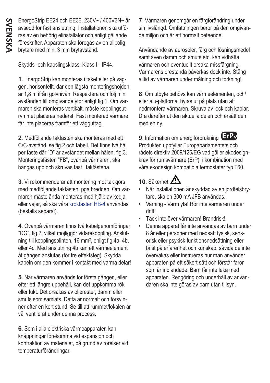EnergoStrip EE24 och EE36, 230V~ / 400V3N~ är avsedd för fast anslutning. Installationen ska utföras av en behörig elinstallatör och enligt gällande föreskrifter. Apparaten ska föregås av en allpolig brytare med min. 3 mm brytavstånd.

Skydds- och kapslingsklass: Klass I - IP44.

**1**. EnergoStrip kan monteras i taket eller på väggen, horisontellt, där den lägsta monteringshöjden är 1,8 m ifrån golvnivån. Respektera och följ min. avstånden till omgivande ytor enligt fig.1. Om värmaren ska monteras vertikalt, måste kopplingsutrymmet placeras nederst. Fast monterad värmare får inte placeras framför ett vägguttag.

**2**. Medföljande takfästen ska monteras med ett C/C-avstånd, se fig.2 och tabell. Det finns två hål per fäste där "D" är avståndet mellan hålen, fig.3. Monteringsfästen "FB", ovanpå värmaren, ska hängas upp och skruvas fast i takfästena.

**3**. Vi rekommenderar att montering mot tak görs med medföljande takfästen, pga bredden. Om värmaren måste ändå monteras med hjälp av kedja eller vajer, så ska våra [krokfästen HB-4](http://www.energotech.se/media/51234/Hook_Bracket_HB-4_Instruction_SE.pdf) användas (beställs separat).

**4**. Ovanpå värmaren finns två kabelgenomföringar "CG", fig.2, vilket möjliggör vidarekoppling. Anslutning till kopplingsplinten, 16 mm², enligt fig.4a, 4b, eller 4c. Med anslutning 4b kan ett värmeelement åt gången anslutas (för tre effektsteg). Skydda kabeln om den kommer i kontakt med varma delar!

**5**. När värmaren används för första gången, eller efter ett längre uppehåll, kan det uppkomma rök eller lukt. Det orsakas av oljerester, damm eller smuts som samlats. Detta är normalt och försvinner efter en kort stund. Se till att rummet/lokalen är väl ventilerat under denna process.

**6**. Som i alla elektriska värmeapparater, kan knäppningar förekomma vid expansion och kontraktion av materialet, på grund av rörelser vid temperaturförändringar.

**7**. Värmaren genomgår en färgförändring under sin livslängd. Omfattningen beror på den omgivande miljön och är ett normalt beteende.

Användande av aerosoler, färg och lösningsmedel samt även damm och smuts etc. kan vidhäfta värmaren och eventuellt orsaka missfärgning. Värmarens prestanda påverkas dock inte. Stäng alltid av värmaren under målning och torkning!

**8**. Om utbyte behövs kan värmeelementen, och/ eller alu-plattorna, bytas ut på plats utan att nedmontera värmaren. Skruva av lock och kablar. Dra därefter ut den aktuella delen och ersätt den med en ny.

**9**. Information om energiförbrukning **ErP**✔Produkten uppfyller Europaparlamentets och rådets direktiv 2009/125/EG vad gäller ekodesignkrav för rumsvärmare (ErP), i kombination med våra ekodesign kompatibla termostater typ T60.

### **10**. Säkerhet

- När installationen är skyddad av en jordfelsbrytare, ska en 300 mA JFB användas.
- Varning Varm yta! Rör inte värmaren under drift!
- Täck inte över värmaren! Brandrisk!
- Denna apparat får inte användas av barn under 8 år eller personer med nedsatt fysisk, sensorisk eller psykisk funktionsnedsättning eller brist på erfarenhet och kunskap, såvida de inte övervakas eller instrueras hur man använder apparaten på ett säkert sätt och förstår faror som är inblandade. Barn får inte leka med apparaten. Rengöring och underhåll av användaren ska inte göras av barn utan tillsyn.